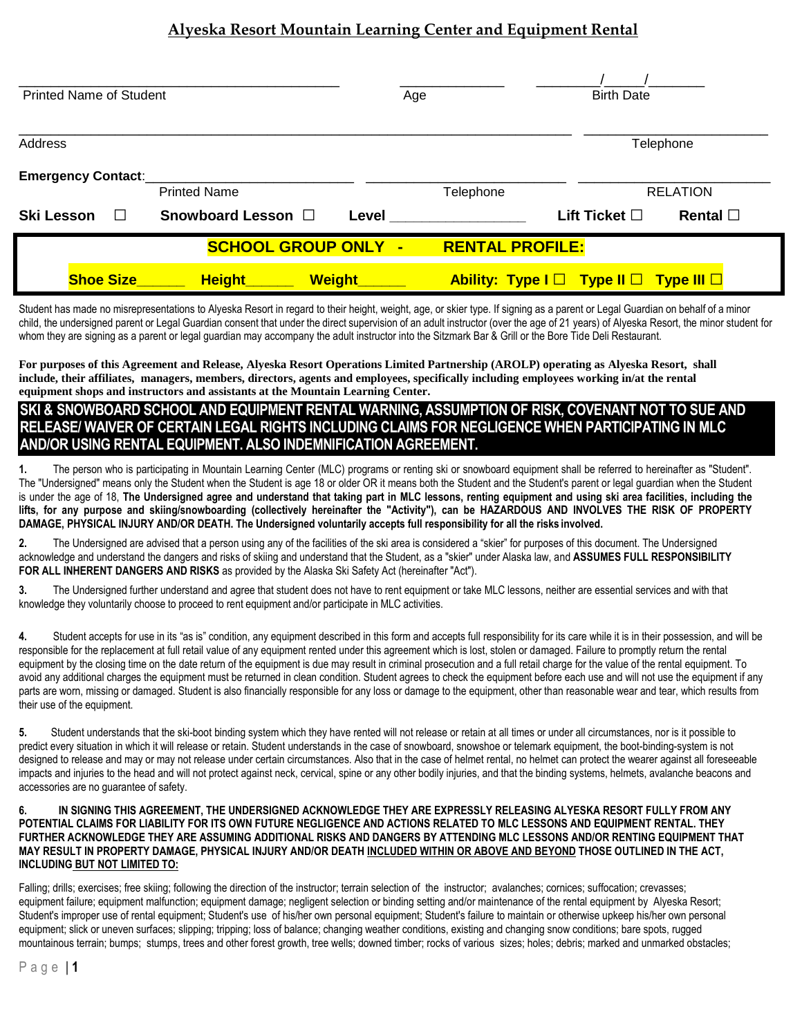# **Alyeska Resort Mountain Learning Center and Equipment Rental**

| <b>Printed Name of Student</b>                       |                                | Age   |                                                       | <b>Birth Date</b>     |                  |
|------------------------------------------------------|--------------------------------|-------|-------------------------------------------------------|-----------------------|------------------|
| <b>Address</b>                                       |                                |       |                                                       | Telephone             |                  |
| <b>Emergency Contact:</b>                            | <b>Printed Name</b>            |       | Telephone                                             |                       | <b>RELATION</b>  |
| <b>Ski Lesson</b><br>$\Box$                          | Snowboard Lesson □             | Level |                                                       | Lift Ticket $\square$ | Rental $\square$ |
| <b>SCHOOL GROUP ONLY -</b><br><b>RENTAL PROFILE:</b> |                                |       |                                                       |                       |                  |
| <b>Shoe Size</b>                                     | <b>Weight</b><br><b>Height</b> |       | Ability: Type $I \Box$ Type II $\Box$ Type III $\Box$ |                       |                  |

Student has made no misrepresentations to Alyeska Resort in regard to their height, weight, age, or skier type. If signing as a parent or Legal Guardian on behalf of a minor child, the undersigned parent or Legal Guardian consent that under the direct supervision of an adult instructor (over the age of 21 years) of Alyeska Resort, the minor student for whom they are signing as a parent or legal guardian may accompany the adult instructor into the Sitzmark Bar & Grill or the Bore Tide Deli Restaurant.

**For purposes of this Agreement and Release, Alyeska Resort Operations Limited Partnership (AROLP) operating as Alyeska Resort, shall include, their affiliates, managers, members, directors, agents and employees, specifically including employees working in/at the rental equipment shops and instructors and assistants at the Mountain Learning Center.**

## **SKI & SNOWBOARD SCHOOL AND EQUIPMENT RENTAL WARNING, ASSUMPTION OF RISK, COVENANT NOT TO SUE AND RELEASE/ WAIVER OF CERTAIN LEGAL RIGHTS INCLUDING CLAIMS FOR NEGLIGENCE WHEN PARTICIPATING IN MLC AND/OR USING RENTAL EQUIPMENT. ALSO INDEMNIFICATION AGREEMENT.**

**1.** The person who is participating in Mountain Learning Center (MLC) programs or renting ski or snowboard equipment shall be referred to hereinafter as "Student". The "Undersigned" means only the Student when the Student is age 18 or older OR it means both the Student and the Student's parent or legal guardian when the Student is under the age of 18, **The Undersigned agree and understand that taking part in MLC lessons, renting equipment and using ski area facilities, including the lifts, for any purpose and skiing/snowboarding (collectively hereinafter the "Activity"), can be HAZARDOUS AND INVOLVES THE RISK OF PROPERTY DAMAGE, PHYSICAL INJURY AND/OR DEATH. The Undersigned voluntarily accepts full responsibility for all the risks involved.**

**2.** The Undersigned are advised that a person using any of the facilities of the ski area is considered a "skier" for purposes of this document. The Undersigned acknowledge and understand the dangers and risks of skiing and understand that the Student, as a "skier" under Alaska law, and **ASSUMES FULL RESPONSIBILITY FOR ALL INHERENT DANGERS AND RISKS** as provided by the Alaska Ski Safety Act (hereinafter "Act").

**3.** The Undersigned further understand and agree that student does not have to rent equipment or take MLC lessons, neither are essential services and with that knowledge they voluntarily choose to proceed to rent equipment and/or participate in MLC activities.

**4.** Student accepts for use in its "as is" condition, any equipment described in this form and accepts full responsibility for its care while it is in their possession, and will be responsible for the replacement at full retail value of any equipment rented under this agreement which is lost, stolen or damaged. Failure to promptly return the rental equipment by the closing time on the date return of the equipment is due may result in criminal prosecution and a full retail charge for the value of the rental equipment. To avoid any additional charges the equipment must be returned in clean condition. Student agrees to check the equipment before each use and will not use the equipment if any parts are worn, missing or damaged. Student is also financially responsible for any loss or damage to the equipment, other than reasonable wear and tear, which results from their use of the equipment.

**5.** Student understands that the ski-boot binding system which they have rented will not release or retain at all times or under all circumstances, nor is it possible to predict every situation in which it will release or retain. Student understands in the case of snowboard, snowshoe or telemark equipment, the boot-binding-system is not designed to release and may or may not release under certain circumstances. Also that in the case of helmet rental, no helmet can protect the wearer against all foreseeable impacts and injuries to the head and will not protect against neck, cervical, spine or any other bodily injuries, and that the binding systems, helmets, avalanche beacons and accessories are no guarantee of safety.

#### **6. IN SIGNING THIS AGREEMENT, THE UNDERSIGNED ACKNOWLEDGE THEY ARE EXPRESSLY RELEASING ALYESKA RESORT FULLY FROM ANY POTENTIAL CLAIMS FOR LIABILITY FOR ITS OWN FUTURE NEGLIGENCE AND ACTIONS RELATED TO MLC LESSONS AND EQUIPMENT RENTAL. THEY FURTHER ACKNOWLEDGE THEY ARE ASSUMING ADDITIONAL RISKS AND DANGERS BY ATTENDING MLC LESSONS AND/OR RENTING EQUIPMENT THAT MAY RESULT IN PROPERTY DAMAGE, PHYSICAL INJURY AND/OR DEATH INCLUDED WITHIN OR ABOVE AND BEYOND THOSE OUTLINED IN THE ACT, INCLUDING BUT NOT LIMITED TO:**

Falling; drills; exercises; free skiing; following the direction of the instructor; terrain selection of the instructor; avalanches; cornices; suffocation; crevasses; equipment failure; equipment malfunction; equipment damage; negligent selection or binding setting and/or maintenance of the rental equipment by Alyeska Resort; Student's improper use of rental equipment; Student's use of his/her own personal equipment; Student's failure to maintain or otherwise upkeep his/her own personal equipment; slick or uneven surfaces; slipping; tripping; loss of balance; changing weather conditions, existing and changing snow conditions; bare spots, rugged mountainous terrain; bumps; stumps, trees and other forest growth, tree wells; downed timber; rocks of various sizes; holes; debris; marked and unmarked obstacles;